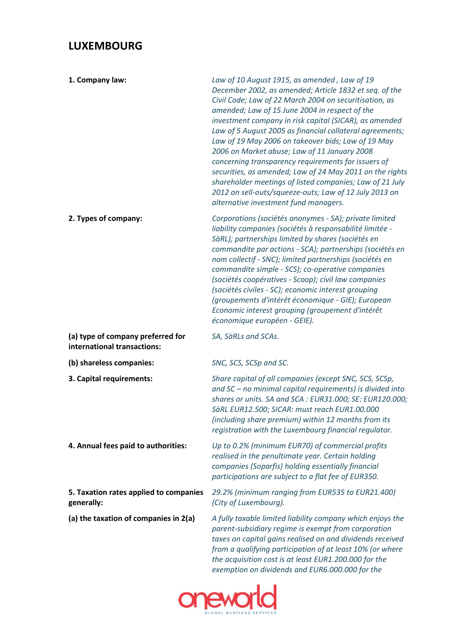## **LUXEMBOURG**

| 1. Company law:                                                  | Law of 10 August 1915, as amended, Law of 19<br>December 2002, as amended; Article 1832 et seq. of the<br>Civil Code; Law of 22 March 2004 on securitisation, as<br>amended; Law of 15 June 2004 in respect of the<br>investment company in risk capital (SICAR), as amended<br>Law of 5 August 2005 as financial collateral agreements;<br>Law of 19 May 2006 on takeover bids; Law of 19 May<br>2006 on Market abuse; Law of 11 January 2008<br>concerning transparency requirements for issuers of<br>securities, as amended; Law of 24 May 2011 on the rights<br>shareholder meetings of listed companies; Law of 21 July<br>2012 on sell-outs/squeeze-outs; Law of 12 July 2013 on<br>alternative investment fund managers. |
|------------------------------------------------------------------|----------------------------------------------------------------------------------------------------------------------------------------------------------------------------------------------------------------------------------------------------------------------------------------------------------------------------------------------------------------------------------------------------------------------------------------------------------------------------------------------------------------------------------------------------------------------------------------------------------------------------------------------------------------------------------------------------------------------------------|
| 2. Types of company:                                             | Corporations (sociétés anonymes - SA); private limited<br>liability companies (sociétés à responsabilité limitée -<br>SàRL); partnerships limited by shares (sociétés en<br>commandite par actions - SCA); partnerships (sociétés en<br>nom collectif - SNC); limited partnerships (sociétés en<br>commandite simple - SCS); co-operative companies<br>(sociétés coopératives - Scoop); civil law companies<br>(sociétés civiles - SC); economic interest grouping<br>(groupements d'intérêt économique - GIE); European<br>Economic interest grouping (groupement d'intérêt<br>économique européen - GEIE).                                                                                                                     |
| (a) type of company preferred for<br>international transactions: | SA, SàRLs and SCAs.                                                                                                                                                                                                                                                                                                                                                                                                                                                                                                                                                                                                                                                                                                              |
| (b) shareless companies:                                         | SNC, SCS, SCSp and SC.                                                                                                                                                                                                                                                                                                                                                                                                                                                                                                                                                                                                                                                                                                           |
| 3. Capital requirements:                                         | Share capital of all companies (except SNC, SCS, SCSp,<br>and SC - no minimal capital requirements) is divided into<br>shares or units. SA and SCA : EUR31.000; SE: EUR120.000;<br>SàRL EUR12.500; SICAR: must reach EUR1.00.000<br>(including share premium) within 12 months from its<br>registration with the Luxembourg financial regulator.                                                                                                                                                                                                                                                                                                                                                                                 |
| 4. Annual fees paid to authorities:                              | Up to 0.2% (minimum EUR70) of commercial profits<br>realised in the penultimate year. Certain holding<br>companies (Soparfis) holding essentially financial<br>participations are subject to a flat fee of EUR350.                                                                                                                                                                                                                                                                                                                                                                                                                                                                                                               |
| 5. Taxation rates applied to companies<br>generally:             | 29.2% (minimum ranging from EUR535 to EUR21.400)<br>(City of Luxembourg).                                                                                                                                                                                                                                                                                                                                                                                                                                                                                                                                                                                                                                                        |
| (a) the taxation of companies in 2(a)                            | A fully taxable limited liability company which enjoys the<br>parent-subsidiary regime is exempt from corporation<br>taxes on capital gains realised on and dividends received<br>from a qualifying participation of at least 10% (or where<br>the acquisition cost is at least EUR1.200.000 for the<br>exemption on dividends and EUR6.000.000 for the                                                                                                                                                                                                                                                                                                                                                                          |